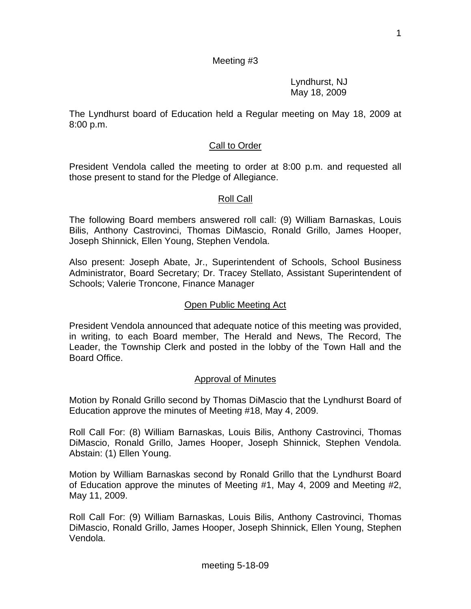1

# Meeting #3

 Lyndhurst, NJ May 18, 2009

The Lyndhurst board of Education held a Regular meeting on May 18, 2009 at 8:00 p.m.

## **Call to Order**

President Vendola called the meeting to order at 8:00 p.m. and requested all those present to stand for the Pledge of Allegiance.

## Roll Call

The following Board members answered roll call: (9) William Barnaskas, Louis Bilis, Anthony Castrovinci, Thomas DiMascio, Ronald Grillo, James Hooper, Joseph Shinnick, Ellen Young, Stephen Vendola.

Also present: Joseph Abate, Jr., Superintendent of Schools, School Business Administrator, Board Secretary; Dr. Tracey Stellato, Assistant Superintendent of Schools; Valerie Troncone, Finance Manager

## Open Public Meeting Act

President Vendola announced that adequate notice of this meeting was provided, in writing, to each Board member, The Herald and News, The Record, The Leader, the Township Clerk and posted in the lobby of the Town Hall and the Board Office.

## Approval of Minutes

Motion by Ronald Grillo second by Thomas DiMascio that the Lyndhurst Board of Education approve the minutes of Meeting #18, May 4, 2009.

Roll Call For: (8) William Barnaskas, Louis Bilis, Anthony Castrovinci, Thomas DiMascio, Ronald Grillo, James Hooper, Joseph Shinnick, Stephen Vendola. Abstain: (1) Ellen Young.

Motion by William Barnaskas second by Ronald Grillo that the Lyndhurst Board of Education approve the minutes of Meeting #1, May 4, 2009 and Meeting #2, May 11, 2009.

Roll Call For: (9) William Barnaskas, Louis Bilis, Anthony Castrovinci, Thomas DiMascio, Ronald Grillo, James Hooper, Joseph Shinnick, Ellen Young, Stephen Vendola.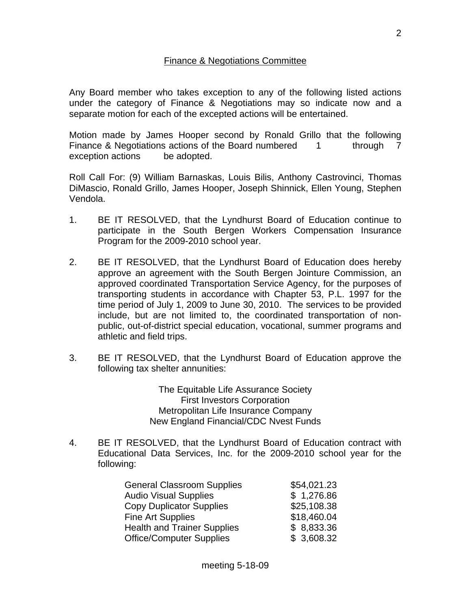## Finance & Negotiations Committee

Any Board member who takes exception to any of the following listed actions under the category of Finance & Negotiations may so indicate now and a separate motion for each of the excepted actions will be entertained.

Motion made by James Hooper second by Ronald Grillo that the following Finance & Negotiations actions of the Board numbered 1 through 7 exception actions be adopted.

Roll Call For: (9) William Barnaskas, Louis Bilis, Anthony Castrovinci, Thomas DiMascio, Ronald Grillo, James Hooper, Joseph Shinnick, Ellen Young, Stephen Vendola.

- 1. BE IT RESOLVED, that the Lyndhurst Board of Education continue to participate in the South Bergen Workers Compensation Insurance Program for the 2009-2010 school year.
- 2. BE IT RESOLVED, that the Lyndhurst Board of Education does hereby approve an agreement with the South Bergen Jointure Commission, an approved coordinated Transportation Service Agency, for the purposes of transporting students in accordance with Chapter 53, P.L. 1997 for the time period of July 1, 2009 to June 30, 2010. The services to be provided include, but are not limited to, the coordinated transportation of nonpublic, out-of-district special education, vocational, summer programs and athletic and field trips.
- 3. BE IT RESOLVED, that the Lyndhurst Board of Education approve the following tax shelter annunities:

The Equitable Life Assurance Society First Investors Corporation Metropolitan Life Insurance Company New England Financial/CDC Nvest Funds

4. BE IT RESOLVED, that the Lyndhurst Board of Education contract with Educational Data Services, Inc. for the 2009-2010 school year for the following:

| <b>General Classroom Supplies</b>  | \$54,021.23 |
|------------------------------------|-------------|
| <b>Audio Visual Supplies</b>       | \$1,276.86  |
| <b>Copy Duplicator Supplies</b>    | \$25,108.38 |
| <b>Fine Art Supplies</b>           | \$18,460.04 |
| <b>Health and Trainer Supplies</b> | \$8,833.36  |
| <b>Office/Computer Supplies</b>    | \$3,608.32  |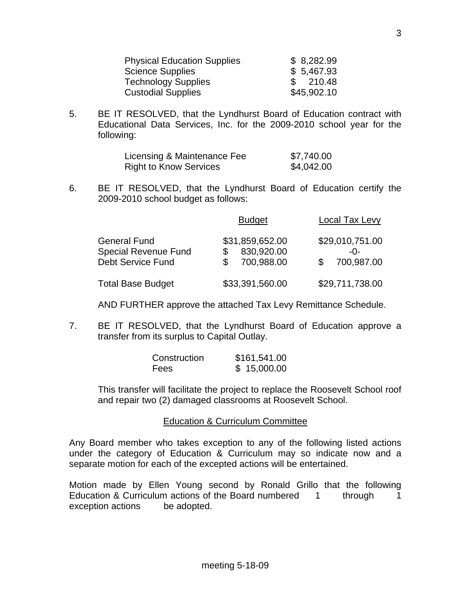| <b>Physical Education Supplies</b> | \$8,282.99  |
|------------------------------------|-------------|
| <b>Science Supplies</b>            | \$5,467.93  |
| <b>Technology Supplies</b>         | 210.48      |
| <b>Custodial Supplies</b>          | \$45,902.10 |

5. BE IT RESOLVED, that the Lyndhurst Board of Education contract with Educational Data Services, Inc. for the 2009-2010 school year for the following:

| Licensing & Maintenance Fee   | \$7,740.00 |
|-------------------------------|------------|
| <b>Right to Know Services</b> | \$4,042.00 |

6. BE IT RESOLVED, that the Lyndhurst Board of Education certify the 2009-2010 school budget as follows:

|                                                                                | <b>Budget</b>                                    | Local Tax Levy                       |
|--------------------------------------------------------------------------------|--------------------------------------------------|--------------------------------------|
| <b>General Fund</b><br><b>Special Revenue Fund</b><br><b>Debt Service Fund</b> | \$31,859,652.00<br>830,920.00<br>S<br>700,988.00 | \$29,010,751.00<br>-በ-<br>700,987.00 |
| <b>Total Base Budget</b>                                                       | \$33,391,560.00                                  | \$29,711,738.00                      |

AND FURTHER approve the attached Tax Levy Remittance Schedule.

7. BE IT RESOLVED, that the Lyndhurst Board of Education approve a transfer from its surplus to Capital Outlay.

| Construction | \$161,541.00 |
|--------------|--------------|
| <b>Fees</b>  | \$15,000.00  |

 This transfer will facilitate the project to replace the Roosevelt School roof and repair two (2) damaged classrooms at Roosevelt School.

Education & Curriculum Committee

Any Board member who takes exception to any of the following listed actions under the category of Education & Curriculum may so indicate now and a separate motion for each of the excepted actions will be entertained.

Motion made by Ellen Young second by Ronald Grillo that the following Education & Curriculum actions of the Board numbered 1 through 1 exception actions be adopted.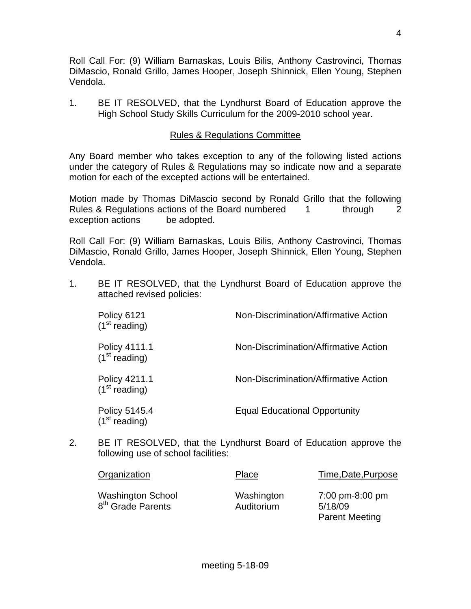Roll Call For: (9) William Barnaskas, Louis Bilis, Anthony Castrovinci, Thomas DiMascio, Ronald Grillo, James Hooper, Joseph Shinnick, Ellen Young, Stephen Vendola.

1. BE IT RESOLVED, that the Lyndhurst Board of Education approve the High School Study Skills Curriculum for the 2009-2010 school year.

# Rules & Regulations Committee

Any Board member who takes exception to any of the following listed actions under the category of Rules & Regulations may so indicate now and a separate motion for each of the excepted actions will be entertained.

Motion made by Thomas DiMascio second by Ronald Grillo that the following Rules & Regulations actions of the Board numbered 1 through 2 exception actions be adopted.

Roll Call For: (9) William Barnaskas, Louis Bilis, Anthony Castrovinci, Thomas DiMascio, Ronald Grillo, James Hooper, Joseph Shinnick, Ellen Young, Stephen Vendola.

1. BE IT RESOLVED, that the Lyndhurst Board of Education approve the attached revised policies:

| Policy 6121<br>(1 <sup>st</sup> reading)   | Non-Discrimination/Affirmative Action |
|--------------------------------------------|---------------------------------------|
| Policy 4111.1<br>(1 <sup>st</sup> reading) | Non-Discrimination/Affirmative Action |
| Policy 4211.1<br>(1 <sup>st</sup> reading) | Non-Discrimination/Affirmative Action |
| Policy 5145.4<br>(1 <sup>st</sup> reading) | <b>Equal Educational Opportunity</b>  |

2. BE IT RESOLVED, that the Lyndhurst Board of Education approve the following use of school facilities:

| Organization                                              | Place                    | Time, Date, Purpose                                 |
|-----------------------------------------------------------|--------------------------|-----------------------------------------------------|
| <b>Washington School</b><br>8 <sup>th</sup> Grade Parents | Washington<br>Auditorium | 7:00 pm-8:00 pm<br>5/18/09<br><b>Parent Meeting</b> |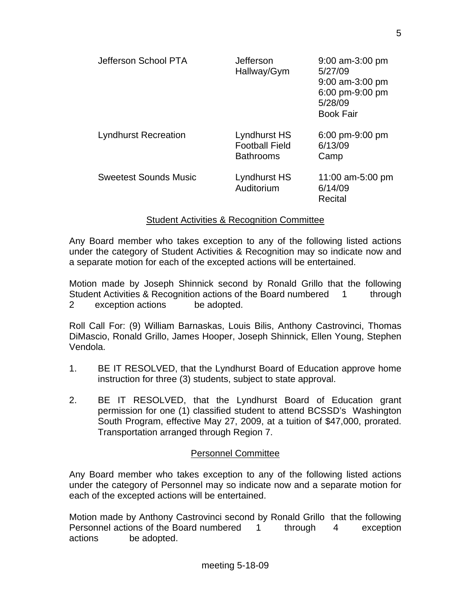| Jefferson School PTA         | Jefferson<br>Hallway/Gym                                  | $9:00$ am-3:00 pm<br>5/27/09<br>$9:00$ am-3:00 pm<br>6:00 pm-9:00 pm<br>5/28/09<br><b>Book Fair</b> |
|------------------------------|-----------------------------------------------------------|-----------------------------------------------------------------------------------------------------|
| <b>Lyndhurst Recreation</b>  | Lyndhurst HS<br><b>Football Field</b><br><b>Bathrooms</b> | $6:00 \text{ pm} - 9:00 \text{ pm}$<br>6/13/09<br>Camp                                              |
| <b>Sweetest Sounds Music</b> | Lyndhurst HS<br>Auditorium                                | 11:00 am-5:00 pm<br>6/14/09<br>Recital                                                              |

## Student Activities & Recognition Committee

Any Board member who takes exception to any of the following listed actions under the category of Student Activities & Recognition may so indicate now and a separate motion for each of the excepted actions will be entertained.

Motion made by Joseph Shinnick second by Ronald Grillo that the following Student Activities & Recognition actions of the Board numbered 1 through 2 exception actions be adopted.

Roll Call For: (9) William Barnaskas, Louis Bilis, Anthony Castrovinci, Thomas DiMascio, Ronald Grillo, James Hooper, Joseph Shinnick, Ellen Young, Stephen Vendola.

- 1. BE IT RESOLVED, that the Lyndhurst Board of Education approve home instruction for three (3) students, subject to state approval.
- 2. BE IT RESOLVED, that the Lyndhurst Board of Education grant permission for one (1) classified student to attend BCSSD's Washington South Program, effective May 27, 2009, at a tuition of \$47,000, prorated. Transportation arranged through Region 7.

# Personnel Committee

Any Board member who takes exception to any of the following listed actions under the category of Personnel may so indicate now and a separate motion for each of the excepted actions will be entertained.

Motion made by Anthony Castrovinci second by Ronald Grillo that the following Personnel actions of the Board numbered 1 through 4 exception actions be adopted.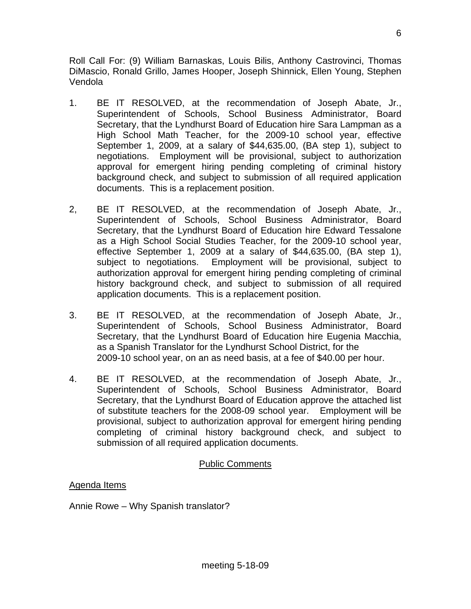Roll Call For: (9) William Barnaskas, Louis Bilis, Anthony Castrovinci, Thomas DiMascio, Ronald Grillo, James Hooper, Joseph Shinnick, Ellen Young, Stephen Vendola

- 1. BE IT RESOLVED, at the recommendation of Joseph Abate, Jr., Superintendent of Schools, School Business Administrator, Board Secretary, that the Lyndhurst Board of Education hire Sara Lampman as a High School Math Teacher, for the 2009-10 school year, effective September 1, 2009, at a salary of \$44,635.00, (BA step 1), subject to negotiations. Employment will be provisional, subject to authorization approval for emergent hiring pending completing of criminal history background check, and subject to submission of all required application documents. This is a replacement position.
- 2, BE IT RESOLVED, at the recommendation of Joseph Abate, Jr., Superintendent of Schools, School Business Administrator, Board Secretary, that the Lyndhurst Board of Education hire Edward Tessalone as a High School Social Studies Teacher, for the 2009-10 school year, effective September 1, 2009 at a salary of \$44,635.00, (BA step 1), subject to negotiations. Employment will be provisional, subject to authorization approval for emergent hiring pending completing of criminal history background check, and subject to submission of all required application documents. This is a replacement position.
- 3. BE IT RESOLVED, at the recommendation of Joseph Abate, Jr., Superintendent of Schools, School Business Administrator, Board Secretary, that the Lyndhurst Board of Education hire Eugenia Macchia, as a Spanish Translator for the Lyndhurst School District, for the 2009-10 school year, on an as need basis, at a fee of \$40.00 per hour.
- 4. BE IT RESOLVED, at the recommendation of Joseph Abate, Jr., Superintendent of Schools, School Business Administrator, Board Secretary, that the Lyndhurst Board of Education approve the attached list of substitute teachers for the 2008-09 school year. Employment will be provisional, subject to authorization approval for emergent hiring pending completing of criminal history background check, and subject to submission of all required application documents.

# Public Comments

# Agenda Items

Annie Rowe – Why Spanish translator?